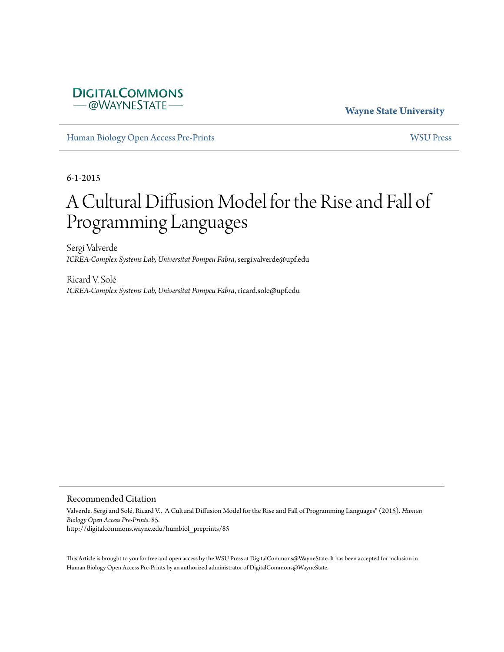## **DIGITALCOMMONS** - @WAYNESTATE

**Wayne State University**

[Human Biology Open Access Pre-Prints](http://digitalcommons.wayne.edu/humbiol_preprints) [WSU Press](http://digitalcommons.wayne.edu/wsupress)

6-1-2015

# A Cultural Diffusion Model for the Rise and Fall of Programming Languages

Sergi Valverde *ICREA-Complex Systems Lab, Universitat Pompeu Fabra*, sergi.valverde@upf.edu

Ricard V. Solé *ICREA-Complex Systems Lab, Universitat Pompeu Fabra*, ricard.sole@upf.edu

#### Recommended Citation

Valverde, Sergi and Solé, Ricard V., "A Cultural Diffusion Model for the Rise and Fall of Programming Languages" (2015). *Human Biology Open Access Pre-Prints*. 85. http://digitalcommons.wayne.edu/humbiol\_preprints/85

This Article is brought to you for free and open access by the WSU Press at DigitalCommons@WayneState. It has been accepted for inclusion in Human Biology Open Access Pre-Prints by an authorized administrator of DigitalCommons@WayneState.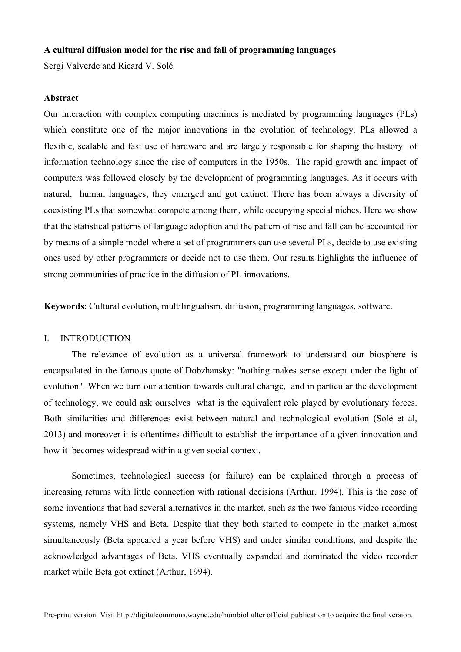#### **A cultural diffusion model for the rise and fall of programming languages**

Sergi Valverde and Ricard V. Solé

## **Abstract**

Our interaction with complex computing machines is mediated by programming languages (PLs) which constitute one of the major innovations in the evolution of technology. PLs allowed a flexible, scalable and fast use of hardware and are largely responsible for shaping the history of information technology since the rise of computers in the 1950s. The rapid growth and impact of computers was followed closely by the development of programming languages. As it occurs with natural, human languages, they emerged and got extinct. There has been always a diversity of coexisting PLs that somewhat compete among them, while occupying special niches. Here we show that the statistical patterns of language adoption and the pattern of rise and fall can be accounted for by means of a simple model where a set of programmers can use several PLs, decide to use existing ones used by other programmers or decide not to use them. Our results highlights the influence of strong communities of practice in the diffusion of PL innovations.

**Keywords**: Cultural evolution, multilingualism, diffusion, programming languages, software.

## I. INTRODUCTION

The relevance of evolution as a universal framework to understand our biosphere is encapsulated in the famous quote of Dobzhansky: "nothing makes sense except under the light of evolution". When we turn our attention towards cultural change, and in particular the development of technology, we could ask ourselves what is the equivalent role played by evolutionary forces. Both similarities and differences exist between natural and technological evolution (Solé et al, 2013) and moreover it is oftentimes difficult to establish the importance of a given innovation and how it becomes widespread within a given social context.

Sometimes, technological success (or failure) can be explained through a process of increasing returns with little connection with rational decisions (Arthur, 1994). This is the case of some inventions that had several alternatives in the market, such as the two famous video recording systems, namely VHS and Beta. Despite that they both started to compete in the market almost simultaneously (Beta appeared a year before VHS) and under similar conditions, and despite the acknowledged advantages of Beta, VHS eventually expanded and dominated the video recorder market while Beta got extinct (Arthur, 1994).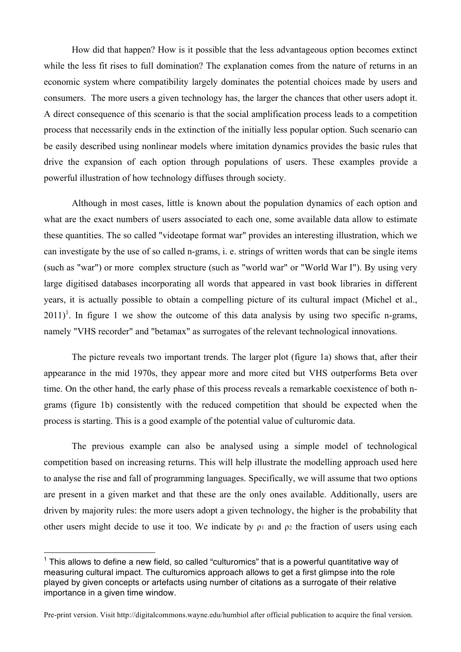How did that happen? How is it possible that the less advantageous option becomes extinct while the less fit rises to full domination? The explanation comes from the nature of returns in an economic system where compatibility largely dominates the potential choices made by users and consumers. The more users a given technology has, the larger the chances that other users adopt it. A direct consequence of this scenario is that the social amplification process leads to a competition process that necessarily ends in the extinction of the initially less popular option. Such scenario can be easily described using nonlinear models where imitation dynamics provides the basic rules that drive the expansion of each option through populations of users. These examples provide a powerful illustration of how technology diffuses through society.

Although in most cases, little is known about the population dynamics of each option and what are the exact numbers of users associated to each one, some available data allow to estimate these quantities. The so called "videotape format war" provides an interesting illustration, which we can investigate by the use of so called n-grams, i. e. strings of written words that can be single items (such as "war") or more complex structure (such as "world war" or "World War I"). By using very large digitised databases incorporating all words that appeared in vast book libraries in different years, it is actually possible to obtain a compelling picture of its cultural impact (Michel et al.,  $2011$ <sup>1</sup>. In figure 1 we show the outcome of this data analysis by using two specific n-grams, namely "VHS recorder" and "betamax" as surrogates of the relevant technological innovations.

The picture reveals two important trends. The larger plot (figure 1a) shows that, after their appearance in the mid 1970s, they appear more and more cited but VHS outperforms Beta over time. On the other hand, the early phase of this process reveals a remarkable coexistence of both ngrams (figure 1b) consistently with the reduced competition that should be expected when the process is starting. This is a good example of the potential value of culturomic data.

The previous example can also be analysed using a simple model of technological competition based on increasing returns. This will help illustrate the modelling approach used here to analyse the rise and fall of programming languages. Specifically, we will assume that two options are present in a given market and that these are the only ones available. Additionally, users are driven by majority rules: the more users adopt a given technology, the higher is the probability that other users might decide to use it too. We indicate by  $\rho_1$  and  $\rho_2$  the fraction of users using each

 $\overline{a}$ 

 $<sup>1</sup>$  This allows to define a new field, so called "culturomics" that is a powerful quantitative way of</sup> measuring cultural impact. The culturomics approach allows to get a first glimpse into the role played by given concepts or artefacts using number of citations as a surrogate of their relative importance in a given time window.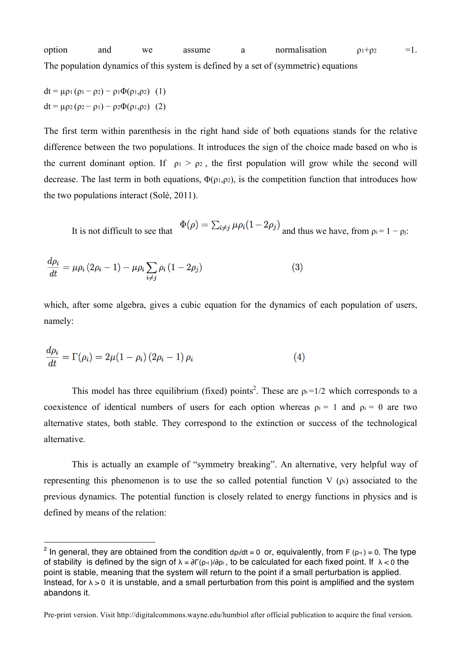option and we assume a normalisation  $\rho_1+\rho_2 = 1$ . The population dynamics of this system is defined by a set of (symmetric) equations

dt =  $\mu \rho_1 (\rho_1 - \rho_2) - \rho_1 \Phi(\rho_1, \rho_2)$  (1) dt = μρ2 (ρ2 – ρ1) – ρ2Φ(ρ1,ρ2) (2)

 $\overline{a}$ 

The first term within parenthesis in the right hand side of both equations stands for the relative difference between the two populations. It introduces the sign of the choice made based on who is the current dominant option. If  $\rho_1 > \rho_2$ , the first population will grow while the second will decrease. The last term in both equations,  $\Phi(\rho_1,\rho_2)$ , is the competition function that introduces how the two populations interact (Solé, 2011).

It is not difficult to see that  $\Phi(\rho) = \sum_{i \neq j} \mu \rho_i (1 - 2\rho_j)$  and thus we have, from  $\rho_i = 1 - \rho_i$ :

$$
\frac{d\rho_i}{dt} = \mu \rho_i (2\rho_i - 1) - \mu \rho_i \sum_{i \neq j} \rho_i (1 - 2\rho_j)
$$
\n(3)

which, after some algebra, gives a cubic equation for the dynamics of each population of users, namely:

$$
\frac{d\rho_i}{dt} = \Gamma(\rho_i) = 2\mu(1-\rho_i)\left(2\rho_i - 1\right)\rho_i\tag{4}
$$

This model has three equilibrium (fixed) points<sup>2</sup>. These are  $p_i = 1/2$  which corresponds to a coexistence of identical numbers of users for each option whereas  $\rho_i = 1$  and  $\rho_i = 0$  are two alternative states, both stable. They correspond to the extinction or success of the technological alternative.

This is actually an example of "symmetry breaking". An alternative, very helpful way of representing this phenomenon is to use the so called potential function  $V(\rho_i)$  associated to the previous dynamics. The potential function is closely related to energy functions in physics and is defined by means of the relation:

<sup>&</sup>lt;sup>2</sup> In general, they are obtained from the condition d<sub>pi</sub>/dt = 0 or, equivalently, from F ( $\rho$ <sub>\*i</sub>) = 0. The type of stability is defined by the sign of  $\lambda = \frac{\partial \Gamma(\rho_{\dot{\gamma}})}{\partial \rho_i}$ , to be calculated for each fixed point. If  $\lambda < 0$  the point is stable, meaning that the system will return to the point if a small perturbation is applied. Instead, for  $\lambda > 0$  it is unstable, and a small perturbation from this point is amplified and the system abandons it.

Pre-print version. Visit http://digitalcommons.wayne.edu/humbiol after official publication to acquire the final version.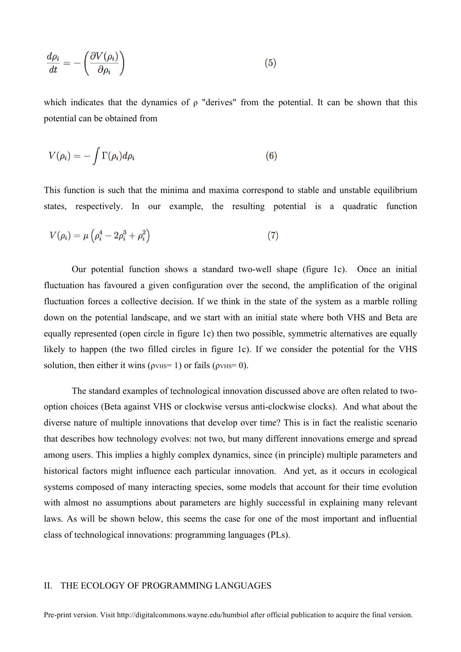$$
\frac{d\rho_i}{dt} = -\left(\frac{\partial V(\rho_i)}{\partial \rho_i}\right) \tag{5}
$$

which indicates that the dynamics of  $\rho$  "derives" from the potential. It can be shown that this potential can be obtained from

$$
V(\rho_i) = -\int \Gamma(\rho_i) d\rho_i \tag{6}
$$

This function is such that the minima and maxima correspond to stable and unstable equilibrium states, respectively. In our example, the resulting potential is a quadratic function

$$
V(\rho_i) = \mu \left( \rho_i^4 - 2\rho_i^3 + \rho_i^2 \right) \tag{7}
$$

Our potential function shows a standard two-well shape (figure 1c). Once an initial fluctuation has favoured a given configuration over the second, the amplification of the original fluctuation forces a collective decision. If we think in the state of the system as a marble rolling down on the potential landscape, and we start with an initial state where both VHS and Beta are equally represented (open circle in figure 1c) then two possible, symmetric alternatives are equally likely to happen (the two filled circles in figure 1c). If we consider the potential for the VHS solution, then either it wins ( $\rho$ VHS= 1) or fails ( $\rho$ VHS= 0).

The standard examples of technological innovation discussed above are often related to twooption choices (Beta against VHS or clockwise versus anti-clockwise clocks). And what about the diverse nature of multiple innovations that develop over time? This is in fact the realistic scenario that describes how technology evolves: not two, but many different innovations emerge and spread among users. This implies a highly complex dynamics, since (in principle) multiple parameters and historical factors might influence each particular innovation. And yet, as it occurs in ecological systems composed of many interacting species, some models that account for their time evolution with almost no assumptions about parameters are highly successful in explaining many relevant laws. As will be shown below, this seems the case for one of the most important and influential class of technological innovations: programming languages (PLs).

#### II. THE ECOLOGY OF PROGRAMMING LANGUAGES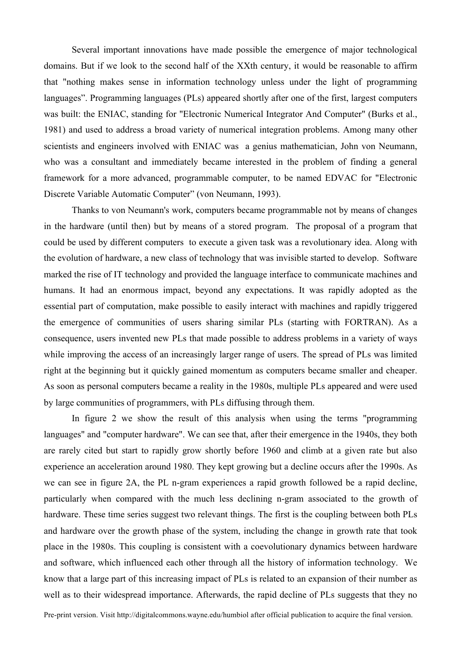Several important innovations have made possible the emergence of major technological domains. But if we look to the second half of the XXth century, it would be reasonable to affirm that "nothing makes sense in information technology unless under the light of programming languages". Programming languages (PLs) appeared shortly after one of the first, largest computers was built: the ENIAC, standing for "Electronic Numerical Integrator And Computer" (Burks et al., 1981) and used to address a broad variety of numerical integration problems. Among many other scientists and engineers involved with ENIAC was a genius mathematician, John von Neumann, who was a consultant and immediately became interested in the problem of finding a general framework for a more advanced, programmable computer, to be named EDVAC for "Electronic Discrete Variable Automatic Computer" (von Neumann, 1993).

Thanks to von Neumann's work, computers became programmable not by means of changes in the hardware (until then) but by means of a stored program. The proposal of a program that could be used by different computers to execute a given task was a revolutionary idea. Along with the evolution of hardware, a new class of technology that was invisible started to develop. Software marked the rise of IT technology and provided the language interface to communicate machines and humans. It had an enormous impact, beyond any expectations. It was rapidly adopted as the essential part of computation, make possible to easily interact with machines and rapidly triggered the emergence of communities of users sharing similar PLs (starting with FORTRAN). As a consequence, users invented new PLs that made possible to address problems in a variety of ways while improving the access of an increasingly larger range of users. The spread of PLs was limited right at the beginning but it quickly gained momentum as computers became smaller and cheaper. As soon as personal computers became a reality in the 1980s, multiple PLs appeared and were used by large communities of programmers, with PLs diffusing through them.

In figure 2 we show the result of this analysis when using the terms "programming languages" and "computer hardware". We can see that, after their emergence in the 1940s, they both are rarely cited but start to rapidly grow shortly before 1960 and climb at a given rate but also experience an acceleration around 1980. They kept growing but a decline occurs after the 1990s. As we can see in figure 2A, the PL n-gram experiences a rapid growth followed be a rapid decline, particularly when compared with the much less declining n-gram associated to the growth of hardware. These time series suggest two relevant things. The first is the coupling between both PLs and hardware over the growth phase of the system, including the change in growth rate that took place in the 1980s. This coupling is consistent with a coevolutionary dynamics between hardware and software, which influenced each other through all the history of information technology. We know that a large part of this increasing impact of PLs is related to an expansion of their number as well as to their widespread importance. Afterwards, the rapid decline of PLs suggests that they no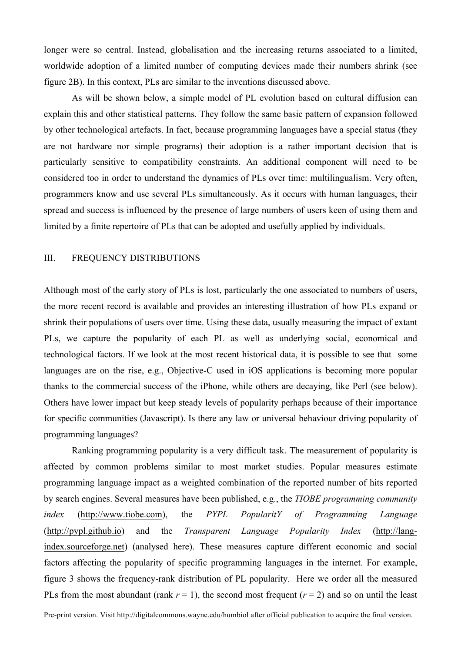longer were so central. Instead, globalisation and the increasing returns associated to a limited, worldwide adoption of a limited number of computing devices made their numbers shrink (see figure 2B). In this context, PLs are similar to the inventions discussed above.

As will be shown below, a simple model of PL evolution based on cultural diffusion can explain this and other statistical patterns. They follow the same basic pattern of expansion followed by other technological artefacts. In fact, because programming languages have a special status (they are not hardware nor simple programs) their adoption is a rather important decision that is particularly sensitive to compatibility constraints. An additional component will need to be considered too in order to understand the dynamics of PLs over time: multilingualism. Very often, programmers know and use several PLs simultaneously. As it occurs with human languages, their spread and success is influenced by the presence of large numbers of users keen of using them and limited by a finite repertoire of PLs that can be adopted and usefully applied by individuals.

### III. FREQUENCY DISTRIBUTIONS

Although most of the early story of PLs is lost, particularly the one associated to numbers of users, the more recent record is available and provides an interesting illustration of how PLs expand or shrink their populations of users over time. Using these data, usually measuring the impact of extant PLs, we capture the popularity of each PL as well as underlying social, economical and technological factors. If we look at the most recent historical data, it is possible to see that some languages are on the rise, e.g., Objective-C used in iOS applications is becoming more popular thanks to the commercial success of the iPhone, while others are decaying, like Perl (see below). Others have lower impact but keep steady levels of popularity perhaps because of their importance for specific communities (Javascript). Is there any law or universal behaviour driving popularity of programming languages?

Ranking programming popularity is a very difficult task. The measurement of popularity is affected by common problems similar to most market studies. Popular measures estimate programming language impact as a weighted combination of the reported number of hits reported by search engines. Several measures have been published, e.g., the *TIOBE programming community index* (http://www.tiobe.com), the *PYPL PopularitY of Programming Language* (http://pypl.github.io) and the *Transparent Language Popularity Index* (http://langindex.sourceforge.net) (analysed here). These measures capture different economic and social factors affecting the popularity of specific programming languages in the internet. For example, figure 3 shows the frequency-rank distribution of PL popularity. Here we order all the measured PLs from the most abundant (rank  $r = 1$ ), the second most frequent ( $r = 2$ ) and so on until the least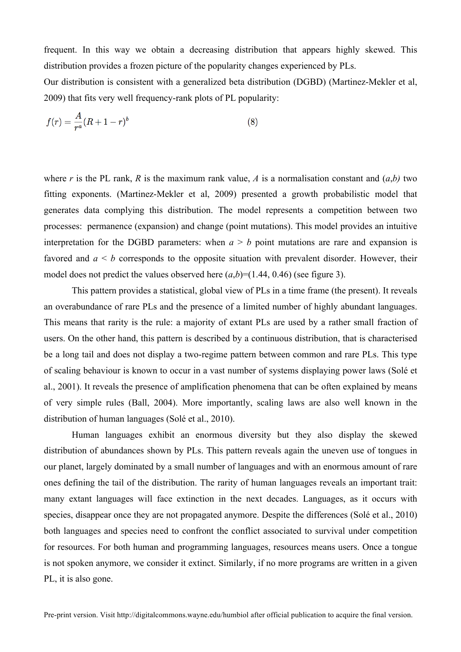frequent. In this way we obtain a decreasing distribution that appears highly skewed. This distribution provides a frozen picture of the popularity changes experienced by PLs.

Our distribution is consistent with a generalized beta distribution (DGBD) (Martinez-Mekler et al, 2009) that fits very well frequency-rank plots of PL popularity:

$$
f(r) = \frac{A}{r^a} (R + 1 - r)^b
$$
 (8)

where *r* is the PL rank, *R* is the maximum rank value, *A* is a normalisation constant and  $(a,b)$  two fitting exponents. (Martinez-Mekler et al, 2009) presented a growth probabilistic model that generates data complying this distribution. The model represents a competition between two processes: permanence (expansion) and change (point mutations). This model provides an intuitive interpretation for the DGBD parameters: when  $a > b$  point mutations are rare and expansion is favored and  $a \leq b$  corresponds to the opposite situation with prevalent disorder. However, their model does not predict the values observed here  $(a,b)=(1.44, 0.46)$  (see figure 3).

This pattern provides a statistical, global view of PLs in a time frame (the present). It reveals an overabundance of rare PLs and the presence of a limited number of highly abundant languages. This means that rarity is the rule: a majority of extant PLs are used by a rather small fraction of users. On the other hand, this pattern is described by a continuous distribution, that is characterised be a long tail and does not display a two-regime pattern between common and rare PLs. This type of scaling behaviour is known to occur in a vast number of systems displaying power laws (Solé et al., 2001). It reveals the presence of amplification phenomena that can be often explained by means of very simple rules (Ball, 2004). More importantly, scaling laws are also well known in the distribution of human languages (Solé et al., 2010).

Human languages exhibit an enormous diversity but they also display the skewed distribution of abundances shown by PLs. This pattern reveals again the uneven use of tongues in our planet, largely dominated by a small number of languages and with an enormous amount of rare ones defining the tail of the distribution. The rarity of human languages reveals an important trait: many extant languages will face extinction in the next decades. Languages, as it occurs with species, disappear once they are not propagated anymore. Despite the differences (Solé et al., 2010) both languages and species need to confront the conflict associated to survival under competition for resources. For both human and programming languages, resources means users. Once a tongue is not spoken anymore, we consider it extinct. Similarly, if no more programs are written in a given PL, it is also gone.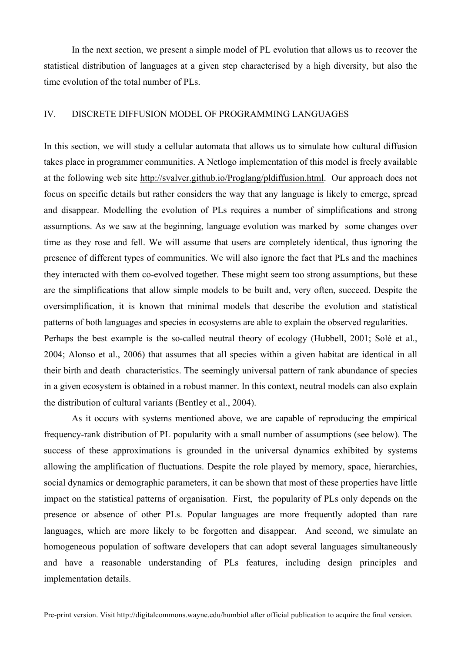In the next section, we present a simple model of PL evolution that allows us to recover the statistical distribution of languages at a given step characterised by a high diversity, but also the time evolution of the total number of PLs.

#### IV. DISCRETE DIFFUSION MODEL OF PROGRAMMING LANGUAGES

In this section, we will study a cellular automata that allows us to simulate how cultural diffusion takes place in programmer communities. A Netlogo implementation of this model is freely available at the following web site http://svalver.github.io/Proglang/pldiffusion.html. Our approach does not focus on specific details but rather considers the way that any language is likely to emerge, spread and disappear. Modelling the evolution of PLs requires a number of simplifications and strong assumptions. As we saw at the beginning, language evolution was marked by some changes over time as they rose and fell. We will assume that users are completely identical, thus ignoring the presence of different types of communities. We will also ignore the fact that PLs and the machines they interacted with them co-evolved together. These might seem too strong assumptions, but these are the simplifications that allow simple models to be built and, very often, succeed. Despite the oversimplification, it is known that minimal models that describe the evolution and statistical patterns of both languages and species in ecosystems are able to explain the observed regularities. Perhaps the best example is the so-called neutral theory of ecology (Hubbell, 2001; Solé et al.,

2004; Alonso et al., 2006) that assumes that all species within a given habitat are identical in all their birth and death characteristics. The seemingly universal pattern of rank abundance of species in a given ecosystem is obtained in a robust manner. In this context, neutral models can also explain the distribution of cultural variants (Bentley et al., 2004).

As it occurs with systems mentioned above, we are capable of reproducing the empirical frequency-rank distribution of PL popularity with a small number of assumptions (see below). The success of these approximations is grounded in the universal dynamics exhibited by systems allowing the amplification of fluctuations. Despite the role played by memory, space, hierarchies, social dynamics or demographic parameters, it can be shown that most of these properties have little impact on the statistical patterns of organisation. First, the popularity of PLs only depends on the presence or absence of other PLs. Popular languages are more frequently adopted than rare languages, which are more likely to be forgotten and disappear. And second, we simulate an homogeneous population of software developers that can adopt several languages simultaneously and have a reasonable understanding of PLs features, including design principles and implementation details.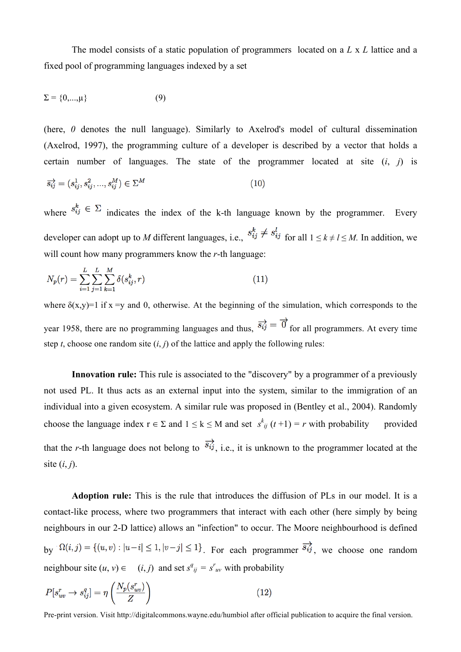The model consists of a static population of programmers located on a *L* x *L* lattice and a fixed pool of programming languages indexed by a set

$$
\Sigma = \{0,\ldots,\mu\} \tag{9}
$$

(here, *0* denotes the null language). Similarly to Axelrod's model of cultural dissemination (Axelrod, 1997), the programming culture of a developer is described by a vector that holds a certain number of languages. The state of the programmer located at site (*i*, *j*) is

$$
\overrightarrow{s_{ij}} = (s_{ij}^1, s_{ij}^2, ..., s_{ij}^M) \in \Sigma^M
$$
\n(10)

where  $s_{ij}^k \in \Sigma$  indicates the index of the k-th language known by the programmer. Every developer can adopt up to *M* different languages, i.e.,  $s_{ij}^k \neq s_{ij}^l$  for all  $1 \leq k \neq l \leq M$ . In addition, we will count how many programmers know the *r*-th language:

$$
N_p(r) = \sum_{i=1}^{L} \sum_{j=1}^{L} \sum_{k=1}^{M} \delta(s_{ij}^k, r)
$$
\n(11)

where  $\delta(x,y)=1$  if  $x = y$  and 0, otherwise. At the beginning of the simulation, which corresponds to the year 1958, there are no programming languages and thus,  $\overrightarrow{s_{ij}} = \overrightarrow{0}$  for all programmers. At every time step *t*, choose one random site  $(i, j)$  of the lattice and apply the following rules:

**Innovation rule:** This rule is associated to the "discovery" by a programmer of a previously not used PL. It thus acts as an external input into the system, similar to the immigration of an individual into a given ecosystem. A similar rule was proposed in (Bentley et al., 2004). Randomly choose the language index  $r \in \Sigma$  and  $1 \le k \le M$  and set  $s^k_{ij}$   $(t+1) = r$  with probability provided that the *r*-th language does not belong to  $\overrightarrow{s_{ij}}$ , i.e., it is unknown to the programmer located at the site (*i*, *j*).

**Adoption rule:** This is the rule that introduces the diffusion of PLs in our model. It is a contact-like process, where two programmers that interact with each other (here simply by being neighbours in our 2-D lattice) allows an "infection" to occur. The Moore neighbourhood is defined by  $\Omega(i,j) = \{(u,v) : |u-i| \leq 1, |v-j| \leq 1\}$ . For each programmer  $\overrightarrow{s_{ij}}$ , we choose one random neighbour site  $(u, v) \in (i, j)$  and set  $s^q_{ij} = s^r_{uv}$  with probability

$$
P[s_{uv}^r \to s_{ij}^q] = \eta \left(\frac{N_p(s_{uv}^r)}{Z}\right) \tag{12}
$$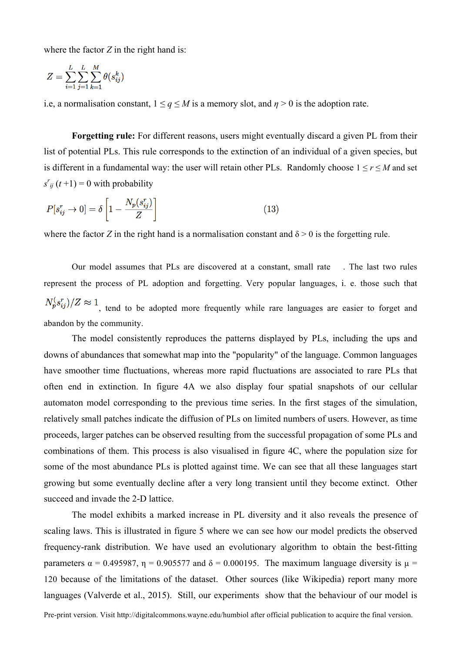where the factor *Z* in the right hand is:

$$
Z = \sum_{i=1}^{L} \sum_{j=1}^{L} \sum_{k=1}^{M} \theta(s_{ij}^k)
$$

i.e, a normalisation constant,  $1 \le q \le M$  is a memory slot, and  $\eta > 0$  is the adoption rate.

**Forgetting rule:** For different reasons, users might eventually discard a given PL from their list of potential PLs. This rule corresponds to the extinction of an individual of a given species, but is different in a fundamental way: the user will retain other PLs. Randomly choose  $1 \le r \le M$  and set  $s'_{ij}$  (*t*+1) = 0 with probability

$$
P[s_{ij}^r \to 0] = \delta \left[ 1 - \frac{N_p(s_{ij}^r)}{Z} \right]
$$
\n(13)

where the factor *Z* in the right hand is a normalisation constant and  $\delta > 0$  is the forgetting rule.

Our model assumes that PLs are discovered at a constant, small rate . The last two rules represent the process of PL adoption and forgetting. Very popular languages, i. e. those such that  $N_p^{\left(s_i^r\right)}/Z \approx 1$  tend to be adopted more frequently while rare languages are easier to forget and abandon by the community.

The model consistently reproduces the patterns displayed by PLs, including the ups and downs of abundances that somewhat map into the "popularity" of the language. Common languages have smoother time fluctuations, whereas more rapid fluctuations are associated to rare PLs that often end in extinction. In figure 4A we also display four spatial snapshots of our cellular automaton model corresponding to the previous time series. In the first stages of the simulation, relatively small patches indicate the diffusion of PLs on limited numbers of users. However, as time proceeds, larger patches can be observed resulting from the successful propagation of some PLs and combinations of them. This process is also visualised in figure 4C, where the population size for some of the most abundance PLs is plotted against time. We can see that all these languages start growing but some eventually decline after a very long transient until they become extinct. Other succeed and invade the 2-D lattice.

The model exhibits a marked increase in PL diversity and it also reveals the presence of scaling laws. This is illustrated in figure 5 where we can see how our model predicts the observed frequency-rank distribution. We have used an evolutionary algorithm to obtain the best-fitting parameters  $\alpha = 0.495987$ ,  $\eta = 0.905577$  and  $\delta = 0.000195$ . The maximum language diversity is  $\mu =$ 120 because of the limitations of the dataset. Other sources (like Wikipedia) report many more languages (Valverde et al., 2015). Still, our experiments show that the behaviour of our model is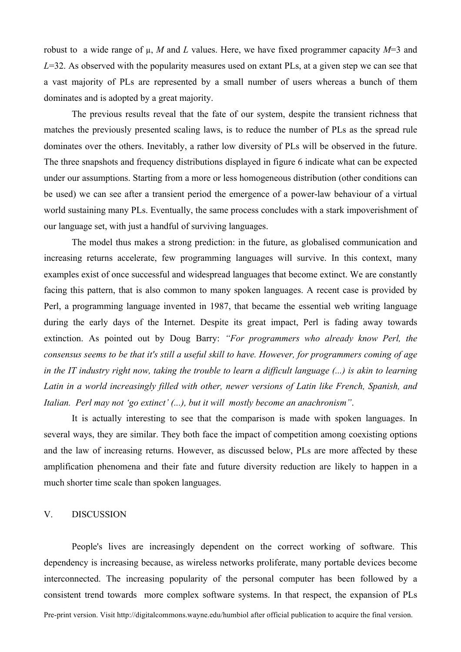robust to a wide range of µ, *M* and *L* values. Here, we have fixed programmer capacity *M*=3 and *L*=32. As observed with the popularity measures used on extant PLs, at a given step we can see that a vast majority of PLs are represented by a small number of users whereas a bunch of them dominates and is adopted by a great majority.

The previous results reveal that the fate of our system, despite the transient richness that matches the previously presented scaling laws, is to reduce the number of PLs as the spread rule dominates over the others. Inevitably, a rather low diversity of PLs will be observed in the future. The three snapshots and frequency distributions displayed in figure 6 indicate what can be expected under our assumptions. Starting from a more or less homogeneous distribution (other conditions can be used) we can see after a transient period the emergence of a power-law behaviour of a virtual world sustaining many PLs. Eventually, the same process concludes with a stark impoverishment of our language set, with just a handful of surviving languages.

The model thus makes a strong prediction: in the future, as globalised communication and increasing returns accelerate, few programming languages will survive. In this context, many examples exist of once successful and widespread languages that become extinct. We are constantly facing this pattern, that is also common to many spoken languages. A recent case is provided by Perl, a programming language invented in 1987, that became the essential web writing language during the early days of the Internet. Despite its great impact, Perl is fading away towards extinction. As pointed out by Doug Barry: *"For programmers who already know Perl, the* consensus seems to be that it's still a useful skill to have. However, for programmers coming of age in the IT industry right now, taking the trouble to learn a difficult language (...) is akin to learning *Latin in a world increasingly filled with other, newer versions of Latin like French, Spanish, and Italian. Perl may not 'go extinct' (...), but it will mostly become an anachronism"*.

It is actually interesting to see that the comparison is made with spoken languages. In several ways, they are similar. They both face the impact of competition among coexisting options and the law of increasing returns. However, as discussed below, PLs are more affected by these amplification phenomena and their fate and future diversity reduction are likely to happen in a much shorter time scale than spoken languages.

#### V. DISCUSSION

People's lives are increasingly dependent on the correct working of software. This dependency is increasing because, as wireless networks proliferate, many portable devices become interconnected. The increasing popularity of the personal computer has been followed by a consistent trend towards more complex software systems. In that respect, the expansion of PLs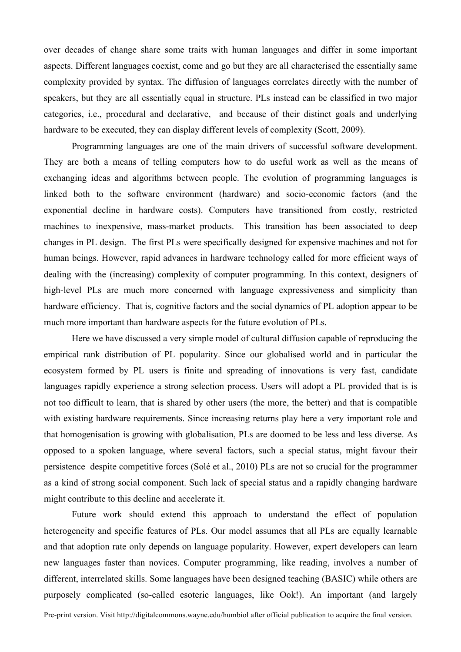over decades of change share some traits with human languages and differ in some important aspects. Different languages coexist, come and go but they are all characterised the essentially same complexity provided by syntax. The diffusion of languages correlates directly with the number of speakers, but they are all essentially equal in structure. PLs instead can be classified in two major categories, i.e., procedural and declarative, and because of their distinct goals and underlying hardware to be executed, they can display different levels of complexity (Scott, 2009).

Programming languages are one of the main drivers of successful software development. They are both a means of telling computers how to do useful work as well as the means of exchanging ideas and algorithms between people. The evolution of programming languages is linked both to the software environment (hardware) and socio-economic factors (and the exponential decline in hardware costs). Computers have transitioned from costly, restricted machines to inexpensive, mass-market products. This transition has been associated to deep changes in PL design. The first PLs were specifically designed for expensive machines and not for human beings. However, rapid advances in hardware technology called for more efficient ways of dealing with the (increasing) complexity of computer programming. In this context, designers of high-level PLs are much more concerned with language expressiveness and simplicity than hardware efficiency. That is, cognitive factors and the social dynamics of PL adoption appear to be much more important than hardware aspects for the future evolution of PLs.

Here we have discussed a very simple model of cultural diffusion capable of reproducing the empirical rank distribution of PL popularity. Since our globalised world and in particular the ecosystem formed by PL users is finite and spreading of innovations is very fast, candidate languages rapidly experience a strong selection process. Users will adopt a PL provided that is is not too difficult to learn, that is shared by other users (the more, the better) and that is compatible with existing hardware requirements. Since increasing returns play here a very important role and that homogenisation is growing with globalisation, PLs are doomed to be less and less diverse. As opposed to a spoken language, where several factors, such a special status, might favour their persistence despite competitive forces (Solé et al., 2010) PLs are not so crucial for the programmer as a kind of strong social component. Such lack of special status and a rapidly changing hardware might contribute to this decline and accelerate it.

Future work should extend this approach to understand the effect of population heterogeneity and specific features of PLs. Our model assumes that all PLs are equally learnable and that adoption rate only depends on language popularity. However, expert developers can learn new languages faster than novices. Computer programming, like reading, involves a number of different, interrelated skills. Some languages have been designed teaching (BASIC) while others are purposely complicated (so-called esoteric languages, like Ook!). An important (and largely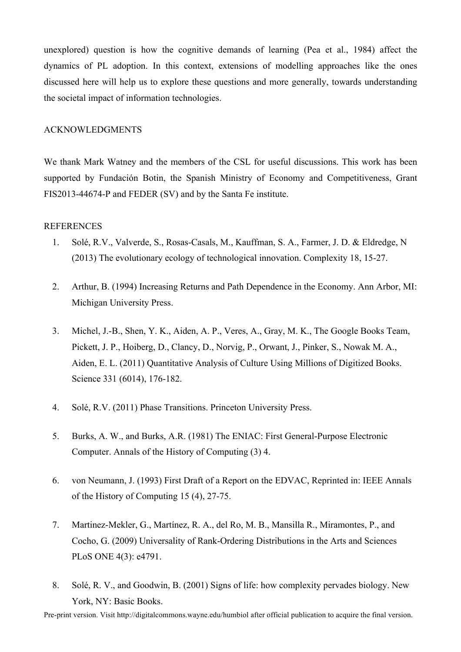unexplored) question is how the cognitive demands of learning (Pea et al., 1984) affect the dynamics of PL adoption. In this context, extensions of modelling approaches like the ones discussed here will help us to explore these questions and more generally, towards understanding the societal impact of information technologies.

## ACKNOWLEDGMENTS

We thank Mark Watney and the members of the CSL for useful discussions. This work has been supported by Fundación Botin, the Spanish Ministry of Economy and Competitiveness, Grant FIS2013-44674-P and FEDER (SV) and by the Santa Fe institute.

## REFERENCES

- 1. Solé, R.V., Valverde, S., Rosas-Casals, M., Kauffman, S. A., Farmer, J. D. & Eldredge, N (2013) The evolutionary ecology of technological innovation. Complexity 18, 15-27.
- 2. Arthur, B. (1994) Increasing Returns and Path Dependence in the Economy. Ann Arbor, MI: Michigan University Press.
- 3. Michel, J.-B., Shen, Y. K., Aiden, A. P., Veres, A., Gray, M. K., The Google Books Team, Pickett, J. P., Hoiberg, D., Clancy, D., Norvig, P., Orwant, J., Pinker, S., Nowak M. A., Aiden, E. L. (2011) Quantitative Analysis of Culture Using Millions of Digitized Books. Science 331 (6014), 176-182.
- 4. Solé, R.V. (2011) Phase Transitions. Princeton University Press.
- 5. Burks, A. W., and Burks, A.R. (1981) The ENIAC: First General-Purpose Electronic Computer. Annals of the History of Computing (3) 4.
- 6. von Neumann, J. (1993) First Draft of a Report on the EDVAC, Reprinted in: IEEE Annals of the History of Computing 15 (4), 27-75.
- 7. Martinez-Mekler, G., Martínez, R. A., del Ro, M. B., Mansilla R., Miramontes, P., and Cocho, G. (2009) Universality of Rank-Ordering Distributions in the Arts and Sciences PLoS ONE 4(3): e4791.
- 8. Solé, R. V., and Goodwin, B. (2001) Signs of life: how complexity pervades biology. New York, NY: Basic Books.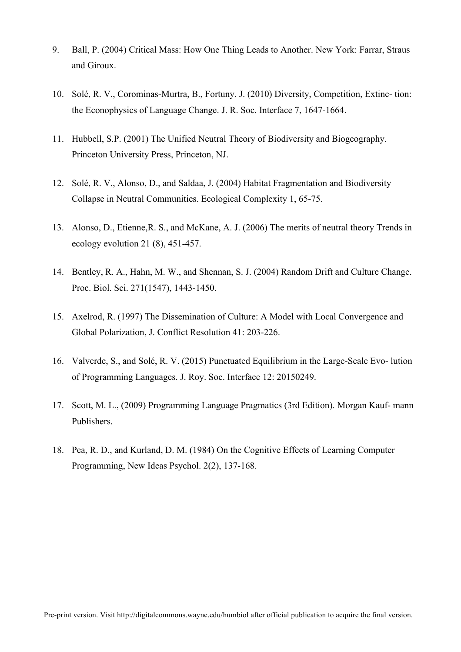- 9. Ball, P. (2004) Critical Mass: How One Thing Leads to Another. New York: Farrar, Straus and Giroux.
- 10. Solé, R. V., Corominas-Murtra, B., Fortuny, J. (2010) Diversity, Competition, Extinc- tion: the Econophysics of Language Change. J. R. Soc. Interface 7, 1647-1664.
- 11. Hubbell, S.P. (2001) The Unified Neutral Theory of Biodiversity and Biogeography. Princeton University Press, Princeton, NJ.
- 12. Solé, R. V., Alonso, D., and Saldaa, J. (2004) Habitat Fragmentation and Biodiversity Collapse in Neutral Communities. Ecological Complexity 1, 65-75.
- 13. Alonso, D., Etienne,R. S., and McKane, A. J. (2006) The merits of neutral theory Trends in ecology evolution 21 (8), 451-457.
- 14. Bentley, R. A., Hahn, M. W., and Shennan, S. J. (2004) Random Drift and Culture Change. Proc. Biol. Sci. 271(1547), 1443-1450.
- 15. Axelrod, R. (1997) The Dissemination of Culture: A Model with Local Convergence and Global Polarization, J. Conflict Resolution 41: 203-226.
- 16. Valverde, S., and Solé, R. V. (2015) Punctuated Equilibrium in the Large-Scale Evo- lution of Programming Languages. J. Roy. Soc. Interface 12: 20150249.
- 17. Scott, M. L., (2009) Programming Language Pragmatics (3rd Edition). Morgan Kauf- mann Publishers.
- 18. Pea, R. D., and Kurland, D. M. (1984) On the Cognitive Effects of Learning Computer Programming, New Ideas Psychol. 2(2), 137-168.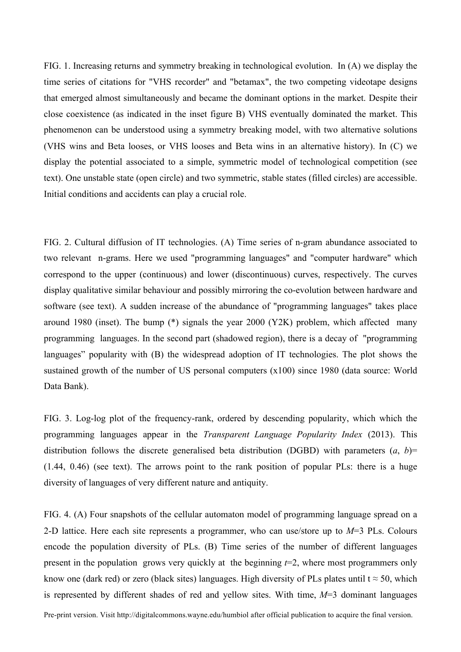FIG. 1. Increasing returns and symmetry breaking in technological evolution. In (A) we display the time series of citations for "VHS recorder" and "betamax", the two competing videotape designs that emerged almost simultaneously and became the dominant options in the market. Despite their close coexistence (as indicated in the inset figure B) VHS eventually dominated the market. This phenomenon can be understood using a symmetry breaking model, with two alternative solutions (VHS wins and Beta looses, or VHS looses and Beta wins in an alternative history). In (C) we display the potential associated to a simple, symmetric model of technological competition (see text). One unstable state (open circle) and two symmetric, stable states (filled circles) are accessible. Initial conditions and accidents can play a crucial role.

FIG. 2. Cultural diffusion of IT technologies. (A) Time series of n-gram abundance associated to two relevant n-grams. Here we used "programming languages" and "computer hardware" which correspond to the upper (continuous) and lower (discontinuous) curves, respectively. The curves display qualitative similar behaviour and possibly mirroring the co-evolution between hardware and software (see text). A sudden increase of the abundance of "programming languages" takes place around 1980 (inset). The bump (\*) signals the year 2000 (Y2K) problem, which affected many programming languages. In the second part (shadowed region), there is a decay of "programming languages" popularity with (B) the widespread adoption of IT technologies. The plot shows the sustained growth of the number of US personal computers (x100) since 1980 (data source: World Data Bank).

FIG. 3. Log-log plot of the frequency-rank, ordered by descending popularity, which which the programming languages appear in the *Transparent Language Popularity Index* (2013). This distribution follows the discrete generalised beta distribution (DGBD) with parameters  $(a, b)$ = (1.44, 0.46) (see text). The arrows point to the rank position of popular PLs: there is a huge diversity of languages of very different nature and antiquity.

FIG. 4. (A) Four snapshots of the cellular automaton model of programming language spread on a 2-D lattice. Here each site represents a programmer, who can use/store up to *M*=3 PLs. Colours encode the population diversity of PLs. (B) Time series of the number of different languages present in the population grows very quickly at the beginning *t*=2, where most programmers only know one (dark red) or zero (black sites) languages. High diversity of PLs plates until  $t \approx 50$ , which is represented by different shades of red and yellow sites. With time, *M*=3 dominant languages